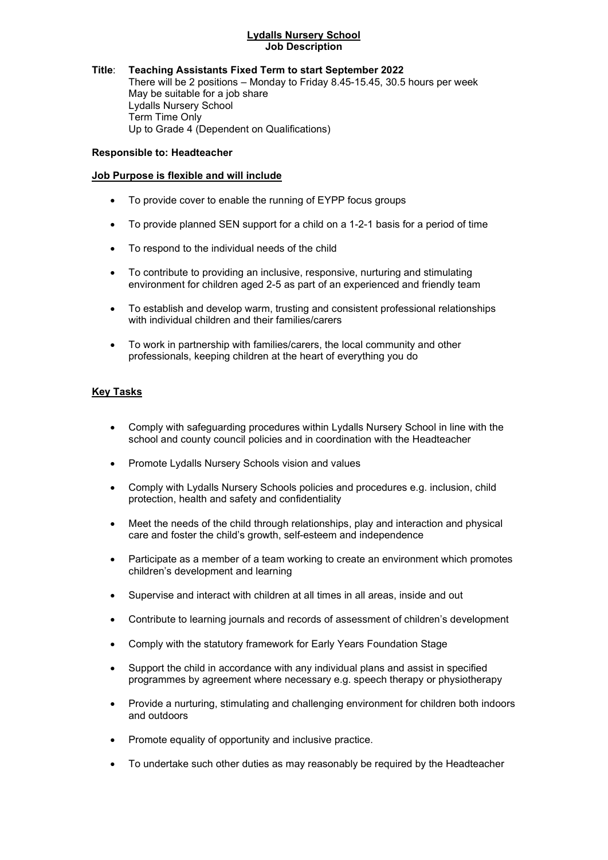#### Lydalls Nursery School Job Description

## Title: Teaching Assistants Fixed Term to start September 2022

There will be 2 positions – Monday to Friday 8.45-15.45, 30.5 hours per week May be suitable for a job share Lydalls Nursery School Term Time Only Up to Grade 4 (Dependent on Qualifications)

#### Responsible to: Headteacher

#### Job Purpose is flexible and will include

- To provide cover to enable the running of EYPP focus groups
- To provide planned SEN support for a child on a 1-2-1 basis for a period of time
- To respond to the individual needs of the child
- To contribute to providing an inclusive, responsive, nurturing and stimulating environment for children aged 2-5 as part of an experienced and friendly team
- To establish and develop warm, trusting and consistent professional relationships with individual children and their families/carers
- To work in partnership with families/carers, the local community and other professionals, keeping children at the heart of everything you do

### Key Tasks

- Comply with safeguarding procedures within Lydalls Nursery School in line with the school and county council policies and in coordination with the Headteacher
- Promote Lydalls Nursery Schools vision and values
- Comply with Lydalls Nursery Schools policies and procedures e.g. inclusion, child protection, health and safety and confidentiality
- Meet the needs of the child through relationships, play and interaction and physical care and foster the child's growth, self-esteem and independence
- Participate as a member of a team working to create an environment which promotes children's development and learning
- Supervise and interact with children at all times in all areas, inside and out
- Contribute to learning journals and records of assessment of children's development
- Comply with the statutory framework for Early Years Foundation Stage
- Support the child in accordance with any individual plans and assist in specified programmes by agreement where necessary e.g. speech therapy or physiotherapy
- Provide a nurturing, stimulating and challenging environment for children both indoors and outdoors
- Promote equality of opportunity and inclusive practice.
- To undertake such other duties as may reasonably be required by the Headteacher